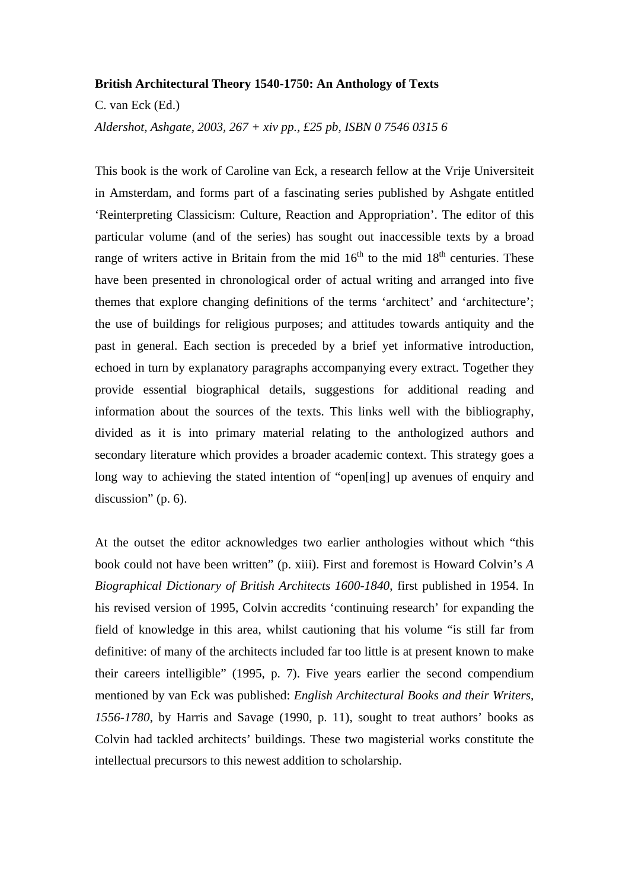## **British Architectural Theory 1540-1750: An Anthology of Texts**

C. van Eck (Ed.)

*Aldershot, Ashgate, 2003, 267 + xiv pp., £25 pb, ISBN 0 7546 0315 6* 

This book is the work of Caroline van Eck, a research fellow at the Vrije Universiteit in Amsterdam, and forms part of a fascinating series published by Ashgate entitled 'Reinterpreting Classicism: Culture, Reaction and Appropriation'. The editor of this particular volume (and of the series) has sought out inaccessible texts by a broad range of writers active in Britain from the mid  $16<sup>th</sup>$  to the mid  $18<sup>th</sup>$  centuries. These have been presented in chronological order of actual writing and arranged into five themes that explore changing definitions of the terms 'architect' and 'architecture'; the use of buildings for religious purposes; and attitudes towards antiquity and the past in general. Each section is preceded by a brief yet informative introduction, echoed in turn by explanatory paragraphs accompanying every extract. Together they provide essential biographical details, suggestions for additional reading and information about the sources of the texts. This links well with the bibliography, divided as it is into primary material relating to the anthologized authors and secondary literature which provides a broader academic context. This strategy goes a long way to achieving the stated intention of "open[ing] up avenues of enquiry and discussion" (p. 6).

At the outset the editor acknowledges two earlier anthologies without which "this book could not have been written" (p. xiii). First and foremost is Howard Colvin's *A Biographical Dictionary of British Architects 1600-1840*, first published in 1954. In his revised version of 1995, Colvin accredits 'continuing research' for expanding the field of knowledge in this area, whilst cautioning that his volume "is still far from definitive: of many of the architects included far too little is at present known to make their careers intelligible" (1995, p. 7). Five years earlier the second compendium mentioned by van Eck was published: *English Architectural Books and their Writers, 1556-1780*, by Harris and Savage (1990, p. 11), sought to treat authors' books as Colvin had tackled architects' buildings. These two magisterial works constitute the intellectual precursors to this newest addition to scholarship.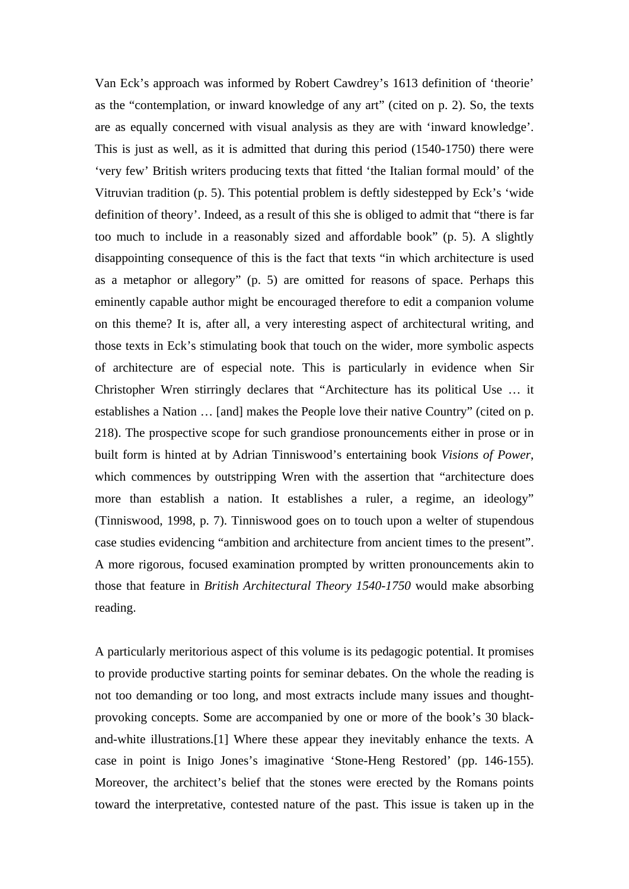Van Eck's approach was informed by Robert Cawdrey's 1613 definition of 'theorie' as the "contemplation, or inward knowledge of any art" (cited on p. 2). So, the texts are as equally concerned with visual analysis as they are with 'inward knowledge'. This is just as well, as it is admitted that during this period (1540-1750) there were 'very few' British writers producing texts that fitted 'the Italian formal mould' of the Vitruvian tradition (p. 5). This potential problem is deftly sidestepped by Eck's 'wide definition of theory'. Indeed, as a result of this she is obliged to admit that "there is far too much to include in a reasonably sized and affordable book" (p. 5). A slightly disappointing consequence of this is the fact that texts "in which architecture is used as a metaphor or allegory" (p. 5) are omitted for reasons of space. Perhaps this eminently capable author might be encouraged therefore to edit a companion volume on this theme? It is, after all, a very interesting aspect of architectural writing, and those texts in Eck's stimulating book that touch on the wider, more symbolic aspects of architecture are of especial note. This is particularly in evidence when Sir Christopher Wren stirringly declares that "Architecture has its political Use … it establishes a Nation … [and] makes the People love their native Country" (cited on p. 218). The prospective scope for such grandiose pronouncements either in prose or in built form is hinted at by Adrian Tinniswood's entertaining book *Visions of Power*, which commences by outstripping Wren with the assertion that "architecture does more than establish a nation. It establishes a ruler, a regime, an ideology" (Tinniswood, 1998, p. 7). Tinniswood goes on to touch upon a welter of stupendous case studies evidencing "ambition and architecture from ancient times to the present". A more rigorous, focused examination prompted by written pronouncements akin to those that feature in *British Architectural Theory 1540-1750* would make absorbing reading.

A particularly meritorious aspect of this volume is its pedagogic potential. It promises to provide productive starting points for seminar debates. On the whole the reading is not too demanding or too long, and most extracts include many issues and thoughtprovoking concepts. Some are accompanied by one or more of the book's 30 blackand-white illustrations.[1] Where these appear they inevitably enhance the texts. A case in point is Inigo Jones's imaginative 'Stone-Heng Restored' (pp. 146-155). Moreover, the architect's belief that the stones were erected by the Romans points toward the interpretative, contested nature of the past. This issue is taken up in the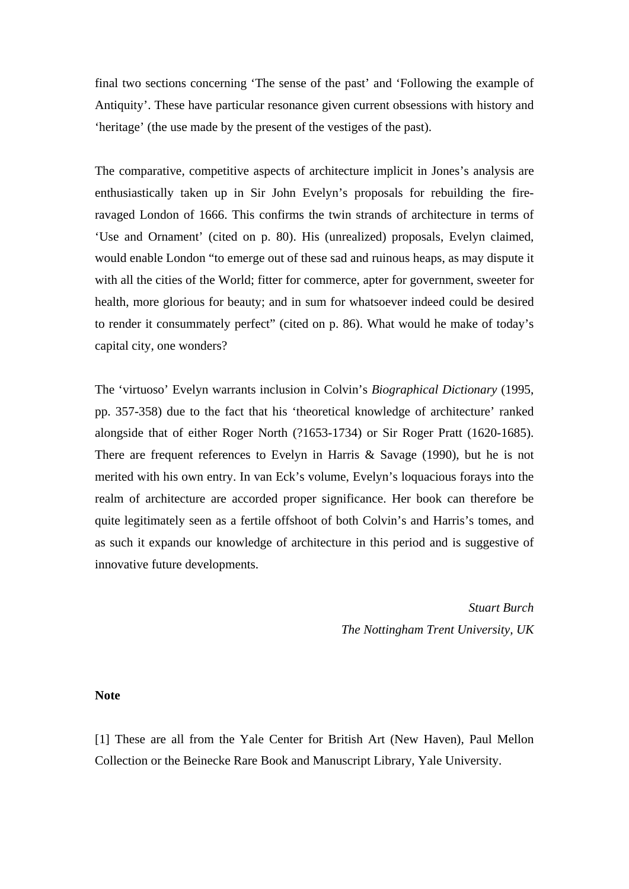final two sections concerning 'The sense of the past' and 'Following the example of Antiquity'. These have particular resonance given current obsessions with history and 'heritage' (the use made by the present of the vestiges of the past).

The comparative, competitive aspects of architecture implicit in Jones's analysis are enthusiastically taken up in Sir John Evelyn's proposals for rebuilding the fireravaged London of 1666. This confirms the twin strands of architecture in terms of 'Use and Ornament' (cited on p. 80). His (unrealized) proposals, Evelyn claimed, would enable London "to emerge out of these sad and ruinous heaps, as may dispute it with all the cities of the World; fitter for commerce, apter for government, sweeter for health, more glorious for beauty; and in sum for whatsoever indeed could be desired to render it consummately perfect" (cited on p. 86). What would he make of today's capital city, one wonders?

The 'virtuoso' Evelyn warrants inclusion in Colvin's *Biographical Dictionary* (1995, pp. 357-358) due to the fact that his 'theoretical knowledge of architecture' ranked alongside that of either Roger North (?1653-1734) or Sir Roger Pratt (1620-1685). There are frequent references to Evelyn in Harris & Savage (1990), but he is not merited with his own entry. In van Eck's volume, Evelyn's loquacious forays into the realm of architecture are accorded proper significance. Her book can therefore be quite legitimately seen as a fertile offshoot of both Colvin's and Harris's tomes, and as such it expands our knowledge of architecture in this period and is suggestive of innovative future developments.

> *Stuart Burch The Nottingham Trent University, UK*

**Note**

[1] These are all from the Yale Center for British Art (New Haven), Paul Mellon Collection or the Beinecke Rare Book and Manuscript Library, Yale University.